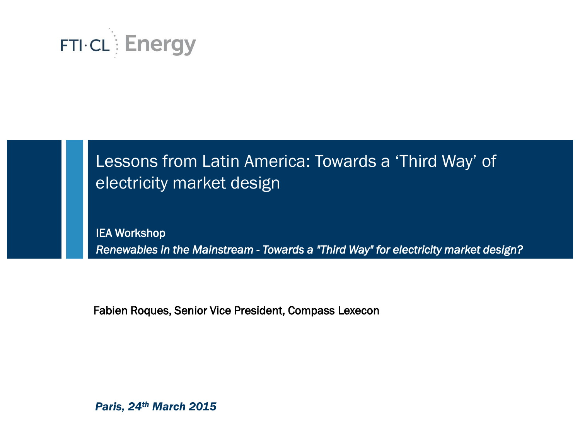

### Lessons from Latin America: Towards a 'Third Way' of electricity market design

IEA Workshop *Renewables in the Mainstream - Towards a "Third Way" for electricity market design?* 

Fabien Roques, Senior Vice President, Compass Lexecon

*Paris, 24th March 2015*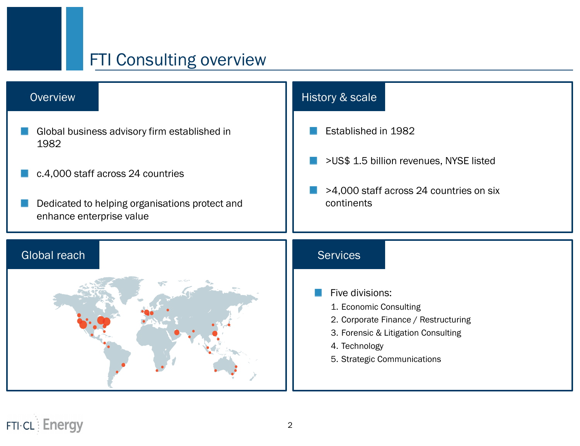### FTI Consulting overview

#### **Overview**

Established in 1982 >US\$ 1.5 billion revenues, NYSE listed >4,000 staff across 24 countries on six continents Five divisions: 1. Economic Consulting 2. Corporate Finance / Restructuring 3. Forensic & Litigation Consulting 4. Technology 5. Strategic Communications Global reach and services and services of the Services Global business advisory firm established in 1982 c.4,000 staff across 24 countries Dedicated to helping organisations protect and enhance enterprise value

History & scale

**FTI-CL**: Energy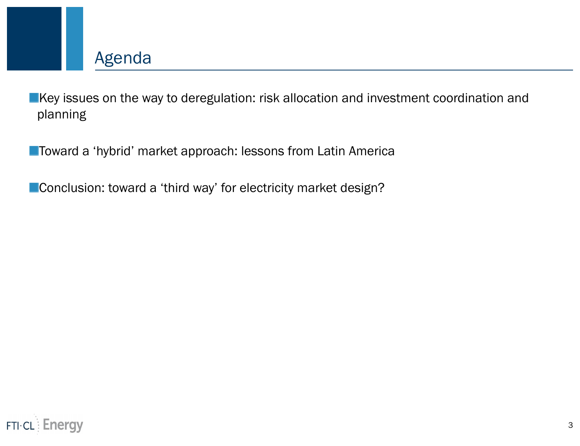

**EXEY** issues on the way to deregulation: risk allocation and investment coordination and planning

**Toward a 'hybrid' market approach: lessons from Latin America** 

**Conclusion: toward a 'third way' for electricity market design?** 

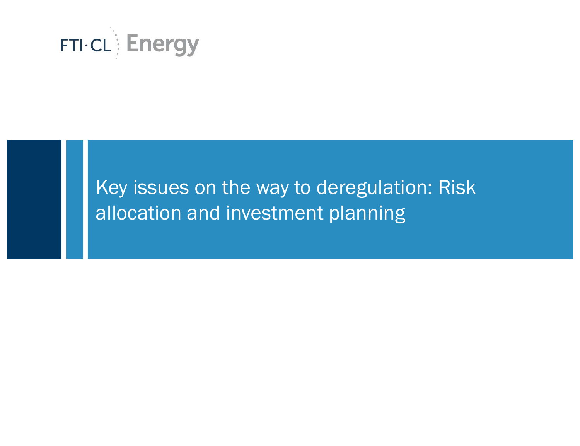

### Key issues on the way to deregulation: Risk allocation and investment planning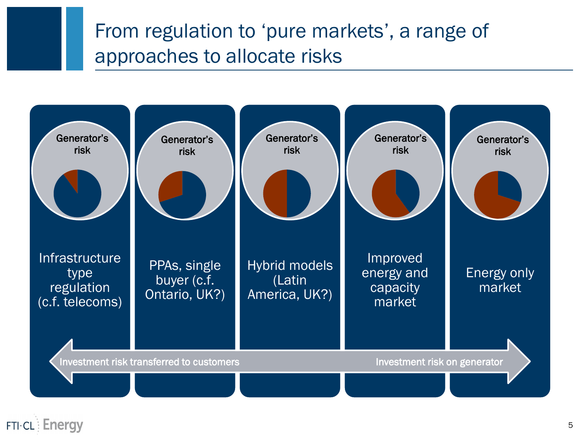### From regulation to 'pure markets', a range of approaches to allocate risks

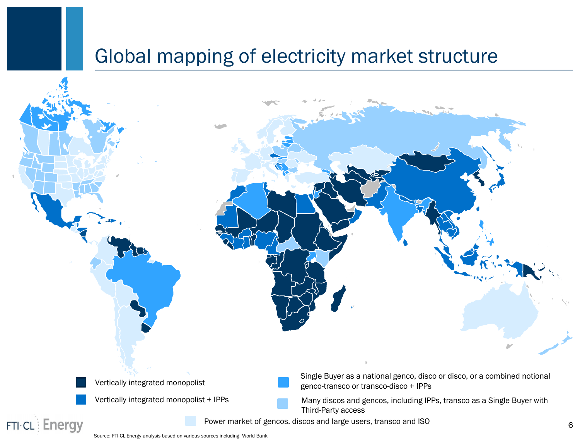### Global mapping of electricity market structure

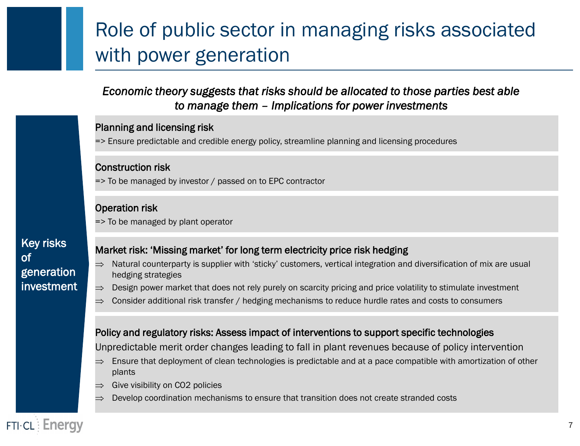# Role of public sector in managing risks associated with power generation

#### *Economic theory suggests that risks should be allocated to those parties best able to manage them – Implications for power investments*

### Planning and licensing risk => Ensure predictable and credible energy policy, streamline planning and licensing procedures Operation risk => To be managed by plant operator Policy and regulatory risks: Assess impact of interventions to support specific technologies Market risk: 'Missing market' for long term electricity price risk hedging Natural counterparty is supplier with 'sticky' customers, vertical integration and diversification of mix are usual hedging strategies  $\implies$  Design power market that does not rely purely on scarcity pricing and price volatility to stimulate investment  $\implies$  Consider additional risk transfer / hedging mechanisms to reduce hurdle rates and costs to consumers Construction risk => To be managed by investor / passed on to EPC contractor

Unpredictable merit order changes leading to fall in plant revenues because of policy intervention

- $\Rightarrow$  Ensure that deployment of clean technologies is predictable and at a pace compatible with amortization of other plants
- $\Rightarrow$  Give visibility on CO2 policies
- Develop coordination mechanisms to ensure that transition does not create stranded costs

Key risks of generation investment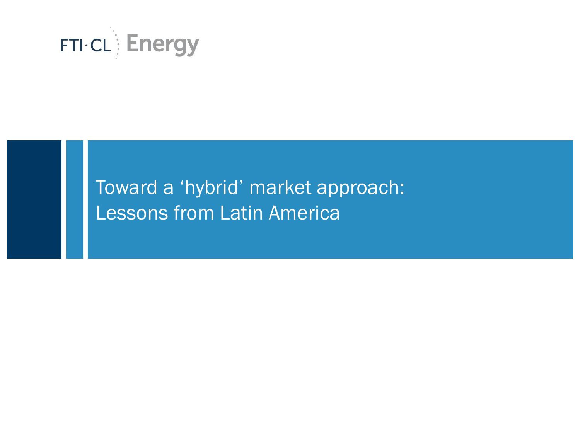

### Toward a 'hybrid' market approach: Lessons from Latin America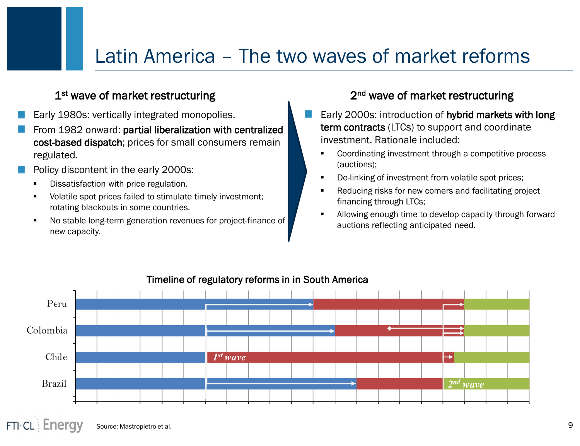### Latin America – The two waves of market reforms

#### 1<sup>st</sup> wave of market restructuring 13th and 2

- Early 1980s: vertically integrated monopolies.
- From 1982 onward: partial liberalization with centralized cost-based dispatch; prices for small consumers remain regulated.
- Policy discontent in the early 2000s:
	- Dissatisfaction with price regulation.
	- Volatile spot prices failed to stimulate timely investment; rotating blackouts in some countries.
	- No stable long-term generation revenues for project-finance of new capacity.

#### <sup>nd</sup> wave of market restructuring

- Early 2000s: introduction of hybrid markets with long term contracts (LTCs) to support and coordinate investment. Rationale included:
	- Coordinating investment through a competitive process (auctions);
	- De-linking of investment from volatile spot prices;
	- Reducing risks for new comers and facilitating project financing through LTCs;
	- Allowing enough time to develop capacity through forward auctions reflecting anticipated need.



#### Timeline of regulatory reforms in in South America

 $FTI·CL$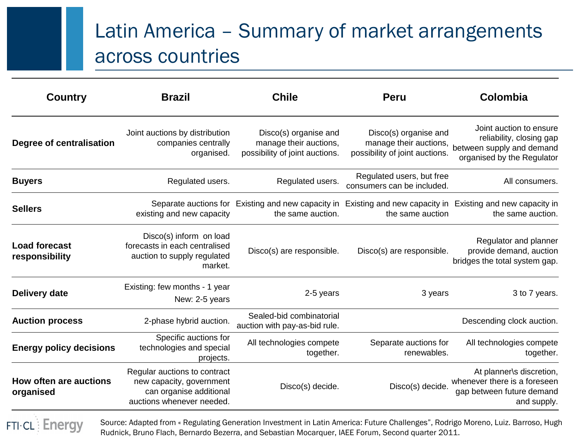# Latin America – Summary of market arrangements across countries

| <b>Country</b>                             | <b>Brazil</b>                                                                                                    | <b>Chile</b>                                                                                                                      | <b>Peru</b>                                                                       | Colombia                                                                                                       |
|--------------------------------------------|------------------------------------------------------------------------------------------------------------------|-----------------------------------------------------------------------------------------------------------------------------------|-----------------------------------------------------------------------------------|----------------------------------------------------------------------------------------------------------------|
| Degree of centralisation                   | Joint auctions by distribution<br>companies centrally<br>organised.                                              | Disco(s) organise and<br>manage their auctions,<br>possibility of joint auctions.                                                 | Disco(s) organise and<br>manage their auctions,<br>possibility of joint auctions. | Joint auction to ensure<br>reliability, closing gap<br>between supply and demand<br>organised by the Regulator |
| <b>Buyers</b>                              | Regulated users.                                                                                                 | Regulated users.                                                                                                                  | Regulated users, but free<br>consumers can be included.                           | All consumers.                                                                                                 |
| <b>Sellers</b>                             | existing and new capacity                                                                                        | Separate auctions for Existing and new capacity in Existing and new capacity in Existing and new capacity in<br>the same auction. | the same auction                                                                  | the same auction.                                                                                              |
| <b>Load forecast</b><br>responsibility     | Disco(s) inform on load<br>forecasts in each centralised<br>auction to supply regulated<br>market.               | Disco(s) are responsible.                                                                                                         | Disco(s) are responsible.                                                         | Regulator and planner<br>provide demand, auction<br>bridges the total system gap.                              |
| <b>Delivery date</b>                       | Existing: few months - 1 year<br>New: 2-5 years                                                                  | 2-5 years                                                                                                                         | 3 years                                                                           | 3 to 7 years.                                                                                                  |
| <b>Auction process</b>                     | 2-phase hybrid auction.                                                                                          | Sealed-bid combinatorial<br>auction with pay-as-bid rule.                                                                         |                                                                                   | Descending clock auction.                                                                                      |
| <b>Energy policy decisions</b>             | Specific auctions for<br>technologies and special<br>projects.                                                   | All technologies compete<br>together.                                                                                             | Separate auctions for<br>renewables.                                              | All technologies compete<br>together.                                                                          |
| <b>How often are auctions</b><br>organised | Regular auctions to contract<br>new capacity, government<br>can organise additional<br>auctions whenever needed. | Disco(s) decide.                                                                                                                  | Disco(s) decide.                                                                  | At planner\s discretion,<br>whenever there is a foreseen<br>gap between future demand<br>and supply.           |

**FTI-CL: Energy** 

Source: Adapted from « Regulating Generation Investment in Latin America: Future Challenges", Rodrigo Moreno, Luiz. Barroso, Hugh Rudnick, Bruno Flach, Bernardo Bezerra, and Sebastian Mocarquer, IAEE Forum, Second quarter 2011.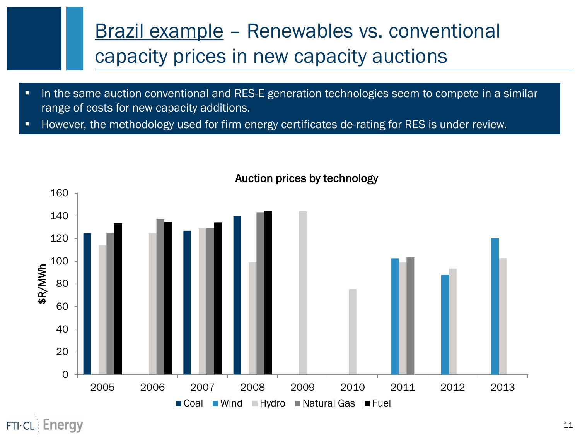# Brazil example – Renewables vs. conventional capacity prices in new capacity auctions

- In the same auction conventional and RES-E generation technologies seem to compete in a similar range of costs for new capacity additions.
- However, the methodology used for firm energy certificates de-rating for RES is under review.



#### Auction prices by technology

 $FTI·CL$  Energy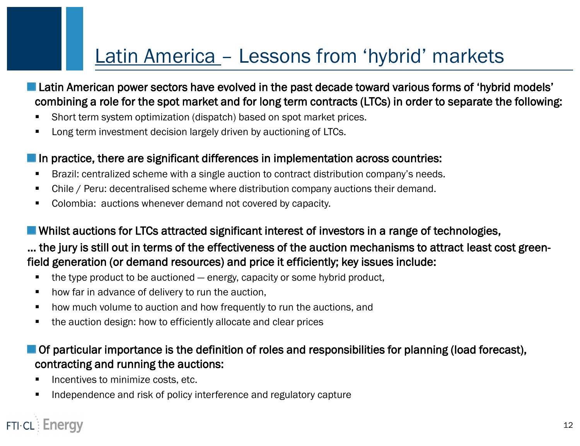### Latin America – Lessons from 'hybrid' markets

- **Latin American power sectors have evolved in the past decade toward various forms of 'hybrid models'** combining a role for the spot market and for long term contracts (LTCs) in order to separate the following:
- **Short term system optimization (dispatch) based on spot market prices.**
- **Long term investment decision largely driven by auctioning of LTCs.**

#### In practice, there are significant differences in implementation across countries:

- **Brazil: centralized scheme with a single auction to contract distribution company's needs.**
- Chile / Peru: decentralised scheme where distribution company auctions their demand.
- **Colombia: auctions whenever demand not covered by capacity.**

#### Whilst auctions for LTCs attracted significant interest of investors in a range of technologies,

### … the jury is still out in terms of the effectiveness of the auction mechanisms to attract least cost greenfield generation (or demand resources) and price it efficiently; key issues include:

- $\blacksquare$  the type product to be auctioned  $-$  energy, capacity or some hybrid product,
- **•** how far in advance of delivery to run the auction,
- **•** how much volume to auction and how frequently to run the auctions, and
- the auction design: how to efficiently allocate and clear prices

#### $\blacksquare$  Of particular importance is the definition of roles and responsibilities for planning (load forecast), contracting and running the auctions:

- **Incentives to minimize costs, etc.**
- **Independence and risk of policy interference and regulatory capture**

### **FTI-CL: Energy**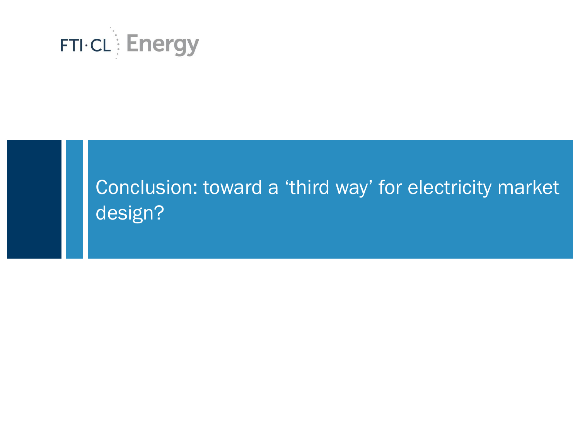

# Conclusion: toward a 'third way' for electricity market design?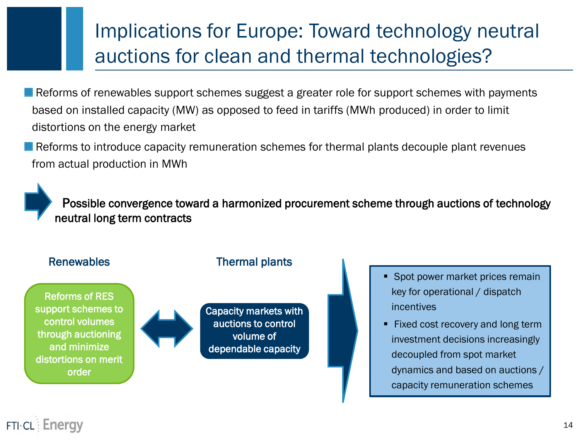# Implications for Europe: Toward technology neutral auctions for clean and thermal technologies?

Reforms of renewables support schemes suggest a greater role for support schemes with payments based on installed capacity (MW) as opposed to feed in tariffs (MWh produced) in order to limit distortions on the energy market

**Reforms to introduce capacity remuneration schemes for thermal plants decouple plant revenues** from actual production in MWh

 Possible convergence toward a harmonized procurement scheme through auctions of technology neutral long term contracts

#### Renewables Thermal plants

Reforms of RES support schemes to control volumes through auctioning and minimize distortions on merit order



Capacity markets with auctions to control volume of dependable capacity

- **Spot power market prices remain** key for operational / dispatch incentives
- Fixed cost recovery and long term investment decisions increasingly decoupled from spot market dynamics and based on auctions / capacity remuneration schemes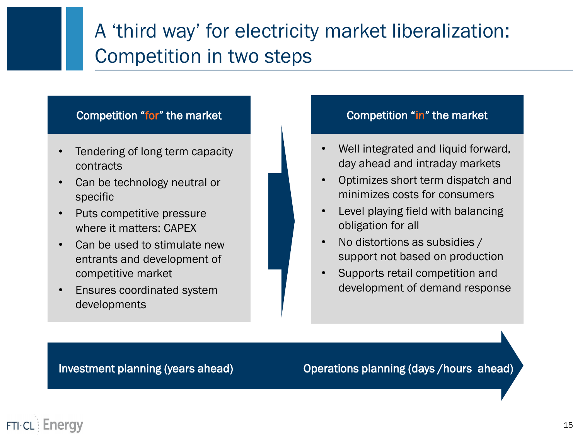# A 'third way' for electricity market liberalization: Competition in two steps

#### Competition "for" the market Competition "in" the market

- Tendering of long term capacity contracts
- Can be technology neutral or specific
- Puts competitive pressure where it matters: CAPEX
- Can be used to stimulate new entrants and development of competitive market
- Ensures coordinated system developments

- Well integrated and liquid forward, day ahead and intraday markets
- Optimizes short term dispatch and minimizes costs for consumers
- Level playing field with balancing obligation for all
- No distortions as subsidies / support not based on production
- Supports retail competition and development of demand response

Investment planning (years ahead) Operations planning (days /hours ahead)